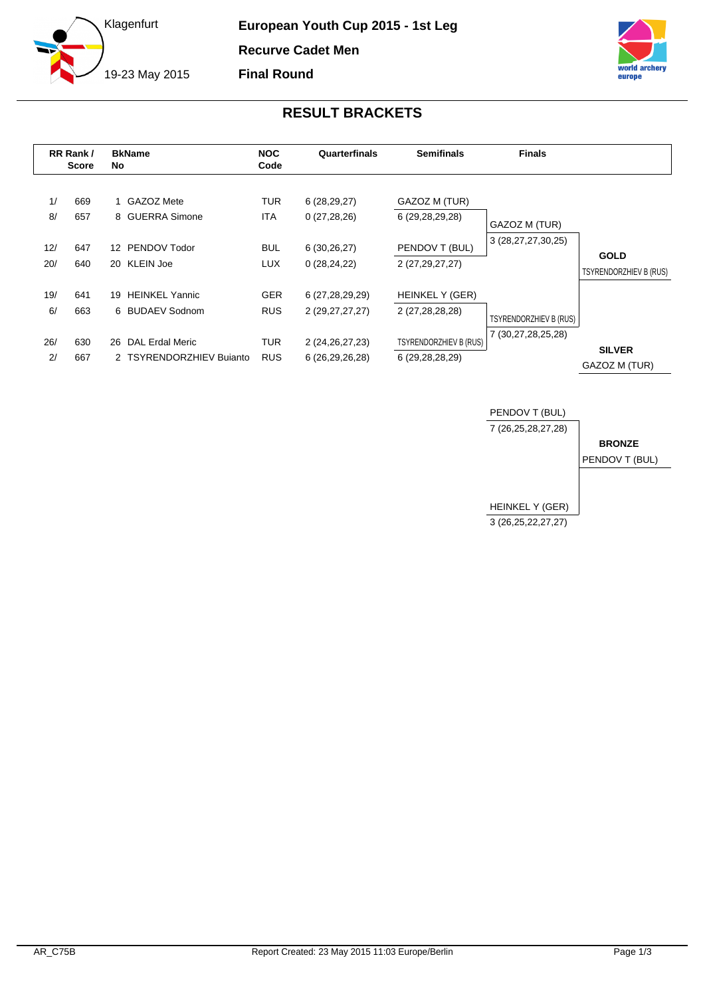

**European Youth Cup 2015 - 1st Leg Recurve Cadet Men Final Round**



## **RESULT BRACKETS**

|            | RR Rank/<br><b>Score</b> | No | <b>BkName</b>                               | <b>NOC</b><br>Code       | Quarterfinals                         | <b>Semifinals</b>                                | <b>Finals</b>          |                                |
|------------|--------------------------|----|---------------------------------------------|--------------------------|---------------------------------------|--------------------------------------------------|------------------------|--------------------------------|
| 1/<br>8/   | 669<br>657               |    | 1 GAZOZ Mete<br>8 GUERRA Simone             | <b>TUR</b><br><b>ITA</b> | 6(28, 29, 27)<br>0(27, 28, 26)        | GAZOZ M (TUR)<br>6 (29,28,29,28)                 | GAZOZ M (TUR)          |                                |
| 12/<br>20/ | 647<br>640               |    | 12 PENDOV Todor<br>20 KLEIN Joe             | <b>BUL</b><br><b>LUX</b> | 6(30,26,27)<br>0(28, 24, 22)          | PENDOV T (BUL)<br>2 (27,29,27,27)                | 3 (28, 27, 27, 30, 25) | <b>GOLD</b>                    |
| 19/        | 641                      | 19 | <b>HEINKEL Yannic</b>                       | <b>GER</b>               | 6 (27,28,29,29)                       | HEINKEL Y (GER)                                  |                        | <b>TSYRENDORZHIEV B (RUS)</b>  |
| 6/         | 663                      |    | 6 BUDAEV Sodnom                             | <b>RUS</b>               | 2 (29,27,27,27)                       | 2 (27,28,28,28)                                  | TSYRENDORZHIEV B (RUS) |                                |
| 26/<br>2/  | 630<br>667               | 26 | DAL Erdal Meric<br>2 TSYRENDORZHIEV Bujanto | TUR<br><b>RUS</b>        | 2 (24, 26, 27, 23)<br>6 (26,29,26,28) | <b>TSYRENDORZHIEV B (RUS)</b><br>6 (29,28,28,29) | 7 (30,27,28,25,28)     | <b>SILVER</b><br>GAZOZ M (TUR) |

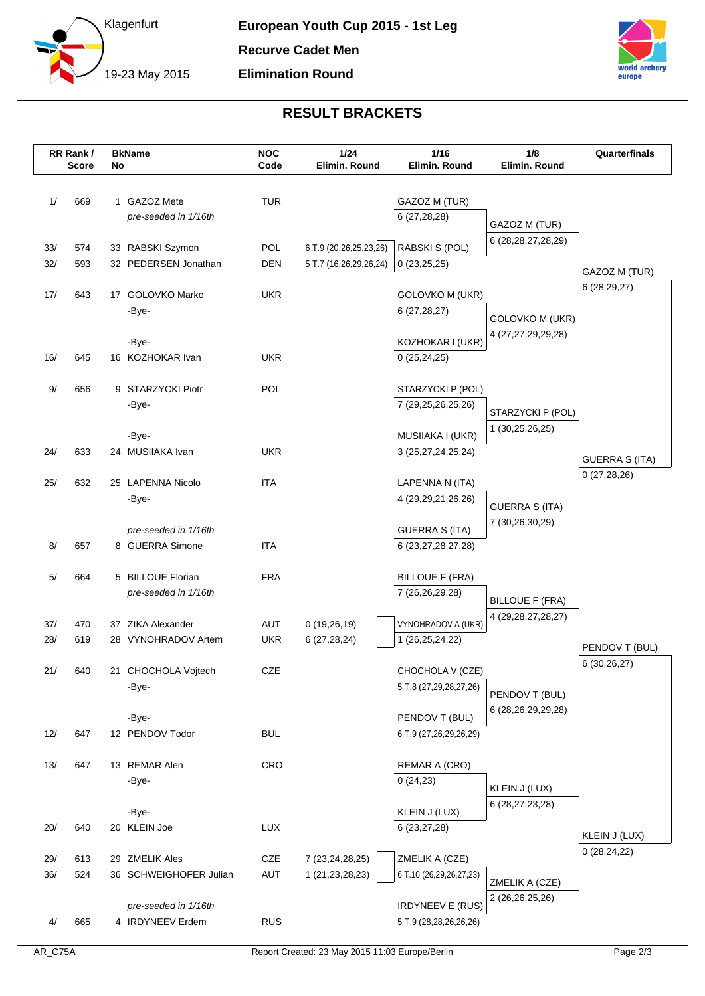



## **RESULT BRACKETS**

|     | RR Rank/<br><b>Score</b> | No | <b>BkName</b>                            | <b>NOC</b><br>Code | 1/24<br>Elimin. Round  | $1/16$<br>Elimin. Round                         | 1/8<br>Elimin. Round                    | Quarterfinals                  |
|-----|--------------------------|----|------------------------------------------|--------------------|------------------------|-------------------------------------------------|-----------------------------------------|--------------------------------|
|     |                          |    |                                          |                    |                        |                                                 |                                         |                                |
| 1/  | 669                      |    | 1 GAZOZ Mete                             | <b>TUR</b>         |                        | GAZOZ M (TUR)                                   |                                         |                                |
|     |                          |    | pre-seeded in 1/16th                     |                    |                        | 6 (27,28,28)                                    |                                         |                                |
|     |                          |    |                                          |                    |                        |                                                 | GAZOZ M (TUR)<br>6 (28, 28, 27, 28, 29) |                                |
| 33/ | 574                      |    | 33 RABSKI Szymon                         | POL                | 6 T.9 (20,26,25,23,26) | RABSKI S (POL)                                  |                                         |                                |
| 32/ | 593                      |    | 32 PEDERSEN Jonathan                     | <b>DEN</b>         | 5 T.7 (16,26,29,26,24) | 0(23,25,25)                                     |                                         | GAZOZ M (TUR)                  |
| 17/ | 643                      |    | 17 GOLOVKO Marko                         | <b>UKR</b>         |                        | <b>GOLOVKO M (UKR)</b>                          |                                         | 6 (28,29,27)                   |
|     |                          |    | -Bye-                                    |                    |                        | 6(27, 28, 27)                                   |                                         |                                |
|     |                          |    |                                          |                    |                        |                                                 | GOLOVKO M (UKR)                         |                                |
|     |                          |    | -Bye-                                    |                    |                        | KOZHOKAR I (UKR)                                | 4 (27,27,29,29,28)                      |                                |
| 16/ | 645                      |    | 16 KOZHOKAR Ivan                         | <b>UKR</b>         |                        | 0(25, 24, 25)                                   |                                         |                                |
|     |                          |    |                                          |                    |                        |                                                 |                                         |                                |
| 9/  | 656                      |    | 9 STARZYCKI Piotr                        | POL                |                        | STARZYCKI P (POL)                               |                                         |                                |
|     |                          |    | -Bye-                                    |                    |                        | 7 (29,25,26,25,26)                              | STARZYCKI P (POL)                       |                                |
|     |                          |    | -Bye-                                    |                    |                        | MUSIIAKA I (UKR)                                | 1 (30,25,26,25)                         |                                |
| 24/ | 633                      |    | 24 MUSIIAKA Ivan                         | <b>UKR</b>         |                        | 3 (25,27,24,25,24)                              |                                         |                                |
|     |                          |    |                                          |                    |                        |                                                 |                                         | <b>GUERRA S (ITA)</b>          |
| 25/ | 632                      |    | 25 LAPENNA Nicolo                        | <b>ITA</b>         |                        | LAPENNA N (ITA)                                 |                                         | 0(27, 28, 26)                  |
|     |                          |    | -Bye-                                    |                    |                        | 4 (29, 29, 21, 26, 26)                          | <b>GUERRA S (ITA)</b>                   |                                |
|     |                          |    |                                          |                    |                        |                                                 | 7 (30,26,30,29)                         |                                |
| 8/  | 657                      |    | pre-seeded in 1/16th<br>8 GUERRA Simone  | <b>ITA</b>         |                        | <b>GUERRA S (ITA)</b><br>6 (23, 27, 28, 27, 28) |                                         |                                |
|     |                          |    |                                          |                    |                        |                                                 |                                         |                                |
| 5/  | 664                      |    | 5 BILLOUE Florian                        | <b>FRA</b>         |                        | <b>BILLOUE F (FRA)</b>                          |                                         |                                |
|     |                          |    | pre-seeded in 1/16th                     |                    |                        | 7 (26,26,29,28)                                 | <b>BILLOUE F (FRA)</b>                  |                                |
|     |                          |    |                                          |                    |                        |                                                 | 4 (29, 28, 27, 28, 27)                  |                                |
| 37/ | 470                      |    | 37 ZIKA Alexander                        | AUT                | 0(19,26,19)            | VYNOHRADOV A (UKR)                              |                                         |                                |
| 28/ | 619                      |    | 28 VYNOHRADOV Artem                      | <b>UKR</b>         | 6(27, 28, 24)          | 1 (26,25,24,22)                                 |                                         | PENDOV T (BUL)                 |
| 21/ | 640                      |    | 21 CHOCHOLA Vojtech                      | CZE                |                        | CHOCHOLA V (CZE)                                |                                         | 6 (30,26,27)                   |
|     |                          |    | -Bye-                                    |                    |                        | 5 T.8 (27,29,28,27,26)                          |                                         |                                |
|     |                          |    |                                          |                    |                        |                                                 | PENDOV T (BUL)                          |                                |
|     |                          |    | -Bye-                                    |                    |                        | PENDOV T (BUL)                                  | 6 (28,26,29,29,28)                      |                                |
| 12/ | 647                      |    | 12 PENDOV Todor                          | <b>BUL</b>         |                        | 6 T.9 (27,26,29,26,29)                          |                                         |                                |
|     |                          |    |                                          |                    |                        |                                                 |                                         |                                |
| 13/ | 647                      |    | 13 REMAR Alen                            | CRO                |                        | <b>REMAR A (CRO)</b><br>0(24,23)                |                                         |                                |
|     |                          |    | -Bye-                                    |                    |                        |                                                 | KLEIN J (LUX)                           |                                |
|     |                          |    | -Bye-                                    |                    |                        | KLEIN J (LUX)                                   | 6 (28,27,23,28)                         |                                |
| 20/ | 640                      |    | 20 KLEIN Joe                             | LUX                |                        | 6 (23,27,28)                                    |                                         |                                |
|     |                          |    |                                          |                    |                        |                                                 |                                         | KLEIN J (LUX)<br>0(28, 24, 22) |
| 29/ | 613                      |    | 29 ZMELIK Ales                           | CZE                | 7 (23, 24, 28, 25)     | ZMELIK A (CZE)                                  |                                         |                                |
| 36/ | 524                      |    | 36 SCHWEIGHOFER Julian                   | AUT                | 1 (21, 23, 28, 23)     | 6 T.10 (26,29,26,27,23)                         | ZMELIK A (CZE)                          |                                |
|     |                          |    |                                          |                    |                        | <b>IRDYNEEV E (RUS)</b>                         | 2 (26,26,25,26)                         |                                |
| 4/  | 665                      |    | pre-seeded in 1/16th<br>4 IRDYNEEV Erdem | <b>RUS</b>         |                        | 5 T.9 (28,28,26,26,26)                          |                                         |                                |
|     |                          |    |                                          |                    |                        |                                                 |                                         |                                |